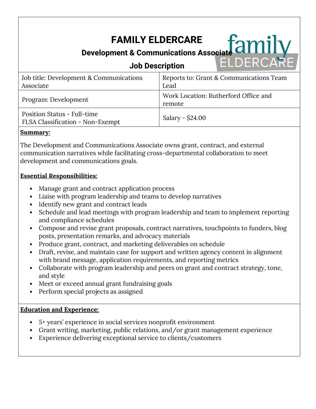# **FAMILY ELDERCARE**

# **Development & Communications Associate**

# **Job Description**

| Job title: Development & Communications<br>Associate                   | Reports to: Grant & Communications Team<br>Lead |
|------------------------------------------------------------------------|-------------------------------------------------|
| Program: Development                                                   | Work Location: Rutherford Office and<br>remote  |
| <b>Position Status - Full-time</b><br>FLSA Classification - Non-Exempt | Salary - \$24.00                                |

#### **Summary:**

The Development and Communications Associate owns grant, contract, and external communication narratives while facilitating cross-departmental collaboration to meet development and communications goals.

#### **Essential Responsibilities:**

- Manage grant and contract application process
- Liaise with program leadership and teams to develop narratives
- Identify new grant and contract leads
- Schedule and lead meetings with program leadership and team to implement reporting and compliance schedules
- Compose and revise grant proposals, contract narratives, touchpoints to funders, blog posts, presentation remarks, and advocacy materials
- Produce grant, contract, and marketing deliverables on schedule
- Draft, revise, and maintain case for support and written agency content in alignment with brand message, application requirements, and reporting metrics
- Collaborate with program leadership and peers on grant and contract strategy, tone, and style
- Meet or exceed annual grant fundraising goals
- Perform special projects as assigned

# **Education and Experience:**

- 5+ years' experience in social services nonprofit environment
- Grant writing, marketing, public relations, and/or grant management experience
- Experience delivering exceptional service to clients/customers